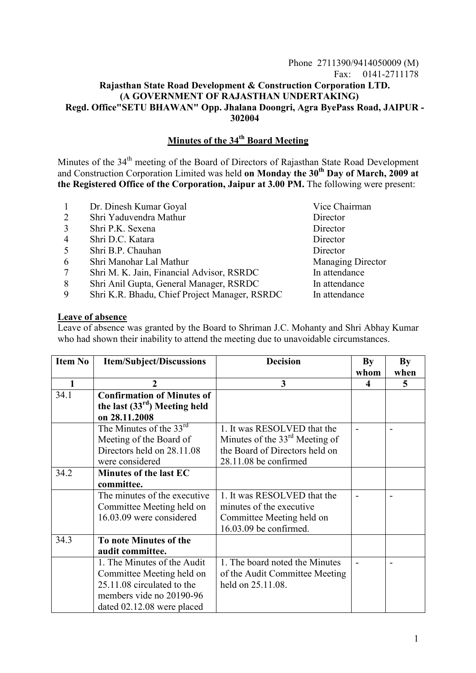## Phone 2711390/9414050009 (M) Fax: 0141-2711178 **Rajasthan State Road Development & Construction Corporation LTD. (A GOVERNMENT OF RAJASTHAN UNDERTAKING) Regd. Office"SETU BHAWAN" Opp. Jhalana Doongri, Agra ByePass Road, JAIPUR - 302004**

## **Minutes of the 34th Board Meeting**

Minutes of the 34<sup>th</sup> meeting of the Board of Directors of Rajasthan State Road Development and Construction Corporation Limited was held **on Monday the 30<sup>th</sup> Day of March, 2009 at the Registered Office of the Corporation, Jaipur at 3.00 PM.** The following were present:

- 1 Dr. Dinesh Kumar Goyal Vice Chairman 2 Shri Yaduvendra Mathur Director 3 Shri P.K. Sexena Director
- 4 Shri D.C. Katara Director
- 5 Shri B.P. Chauhan Director
- 6 Shri Manohar Lal Mathur Managing Director
- 7 Shri M. K. Jain, Financial Advisor, RSRDC In attendance
- 8 Shri Anil Gupta, General Manager, RSRDC In attendance
- 9 Shri K.R. Bhadu, Chief Project Manager, RSRDC In attendance

**Leave of absence**

Leave of absence was granted by the Board to Shriman J.C. Mohanty and Shri Abhay Kumar who had shown their inability to attend the meeting due to unavoidable circumstances.

| <b>Item No</b> | <b>Item/Subject/Discussions</b>                | <b>Decision</b>                  | By   | <b>By</b> |
|----------------|------------------------------------------------|----------------------------------|------|-----------|
|                |                                                |                                  | whom | when      |
| 1              | $\mathbf{2}$                                   | 3                                | 4    | 5         |
| 34.1           | <b>Confirmation of Minutes of</b>              |                                  |      |           |
|                | the last $(33rd)$ Meeting held                 |                                  |      |           |
|                | on 28.11.2008                                  |                                  |      |           |
|                | The Minutes of the $3\overline{3}^{\text{rd}}$ | 1. It was RESOLVED that the      |      |           |
|                | Meeting of the Board of                        | Minutes of the $33rd$ Meeting of |      |           |
|                | Directors held on 28.11.08                     | the Board of Directors held on   |      |           |
|                | were considered                                | 28.11.08 be confirmed            |      |           |
| 34.2           | Minutes of the last EC                         |                                  |      |           |
|                | committee.                                     |                                  |      |           |
|                | The minutes of the executive                   | 1. It was RESOLVED that the      |      |           |
|                | Committee Meeting held on                      | minutes of the executive         |      |           |
|                | 16.03.09 were considered                       | Committee Meeting held on        |      |           |
|                |                                                | 16.03.09 be confirmed.           |      |           |
| 34.3           | To note Minutes of the                         |                                  |      |           |
|                | audit committee.                               |                                  |      |           |
|                | 1. The Minutes of the Audit                    | 1. The board noted the Minutes   |      |           |
|                | Committee Meeting held on                      | of the Audit Committee Meeting   |      |           |
|                | 25.11.08 circulated to the                     | held on 25.11.08.                |      |           |
|                | members vide no 20190-96                       |                                  |      |           |
|                | dated 02.12.08 were placed                     |                                  |      |           |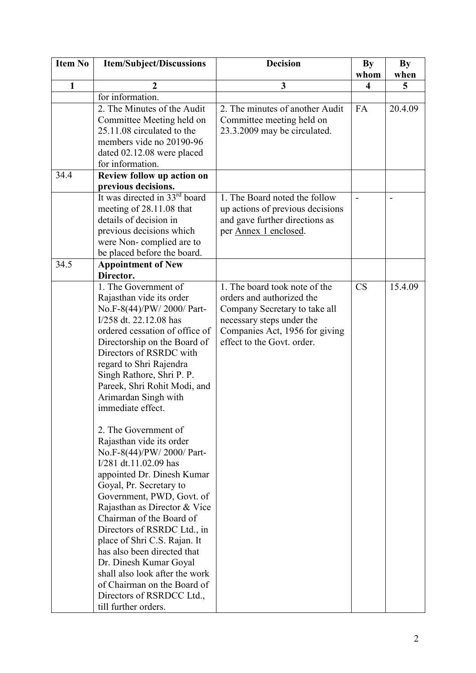| <b>Item No</b> | <b>Item/Subject/Discussions</b>                                                                                                                                                                                                                                                                                                                                                                                                                                                                                                                                                                                                                                                                                                                                                                                                                    | <b>Decision</b>                                                                                                                                                                          | <b>By</b><br>whom | <b>By</b><br>when |
|----------------|----------------------------------------------------------------------------------------------------------------------------------------------------------------------------------------------------------------------------------------------------------------------------------------------------------------------------------------------------------------------------------------------------------------------------------------------------------------------------------------------------------------------------------------------------------------------------------------------------------------------------------------------------------------------------------------------------------------------------------------------------------------------------------------------------------------------------------------------------|------------------------------------------------------------------------------------------------------------------------------------------------------------------------------------------|-------------------|-------------------|
| $\mathbf{1}$   | $\boldsymbol{2}$                                                                                                                                                                                                                                                                                                                                                                                                                                                                                                                                                                                                                                                                                                                                                                                                                                   | 3                                                                                                                                                                                        | 4                 | 5                 |
|                | for information.                                                                                                                                                                                                                                                                                                                                                                                                                                                                                                                                                                                                                                                                                                                                                                                                                                   |                                                                                                                                                                                          |                   |                   |
|                | 2. The Minutes of the Audit<br>Committee Meeting held on<br>25.11.08 circulated to the<br>members vide no 20190-96<br>dated 02.12.08 were placed<br>for information.                                                                                                                                                                                                                                                                                                                                                                                                                                                                                                                                                                                                                                                                               | 2. The minutes of another Audit<br>Committee meeting held on<br>23.3.2009 may be circulated.                                                                                             | FA                | 20.4.09           |
| 34.4           | Review follow up action on<br>previous decisions.                                                                                                                                                                                                                                                                                                                                                                                                                                                                                                                                                                                                                                                                                                                                                                                                  |                                                                                                                                                                                          |                   |                   |
|                | It was directed in 33 <sup>rd</sup> board<br>meeting of 28.11.08 that<br>details of decision in<br>previous decisions which<br>were Non-complied are to<br>be placed before the board.                                                                                                                                                                                                                                                                                                                                                                                                                                                                                                                                                                                                                                                             | 1. The Board noted the follow<br>up actions of previous decisions<br>and gave further directions as<br>per Annex 1 enclosed.                                                             |                   |                   |
| 34.5           | <b>Appointment of New</b><br>Director.                                                                                                                                                                                                                                                                                                                                                                                                                                                                                                                                                                                                                                                                                                                                                                                                             |                                                                                                                                                                                          |                   |                   |
|                | 1. The Government of<br>Rajasthan vide its order<br>No.F-8(44)/PW/2000/ Part-<br>I/258 dt. 22.12.08 has<br>ordered cessation of office of<br>Directorship on the Board of<br>Directors of RSRDC with<br>regard to Shri Rajendra<br>Singh Rathore, Shri P. P.<br>Pareek, Shri Rohit Modi, and<br>Arimardan Singh with<br>immediate effect.<br>2. The Government of<br>Rajasthan vide its order<br>No.F-8(44)/PW/2000/Part-<br>I/281 dt.11.02.09 has<br>appointed Dr. Dinesh Kumar<br>Goyal, Pr. Secretary to<br>Government, PWD, Govt. of<br>Rajasthan as Director & Vice<br>Chairman of the Board of<br>Directors of RSRDC Ltd., in<br>place of Shri C.S. Rajan. It<br>has also been directed that<br>Dr. Dinesh Kumar Goyal<br>shall also look after the work<br>of Chairman on the Board of<br>Directors of RSRDCC Ltd.,<br>till further orders. | 1. The board took note of the<br>orders and authorized the<br>Company Secretary to take all<br>necessary steps under the<br>Companies Act, 1956 for giving<br>effect to the Govt. order. | <b>CS</b>         | 15.4.09           |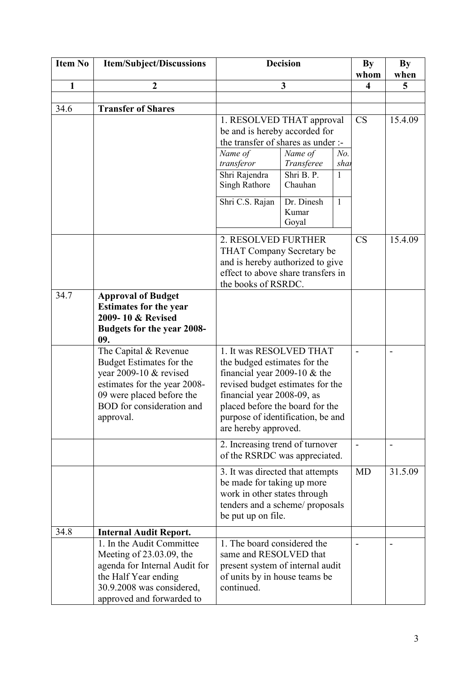| <b>Item No</b> | <b>Item/Subject/Discussions</b>                                                                                                                                                    | <b>Decision</b>                                                                                                                                                                                                                                             |                                                                                   | <b>By</b>                        | By        |         |
|----------------|------------------------------------------------------------------------------------------------------------------------------------------------------------------------------------|-------------------------------------------------------------------------------------------------------------------------------------------------------------------------------------------------------------------------------------------------------------|-----------------------------------------------------------------------------------|----------------------------------|-----------|---------|
|                |                                                                                                                                                                                    |                                                                                                                                                                                                                                                             |                                                                                   |                                  | whom      | when    |
| $\mathbf{1}$   | $\boldsymbol{2}$                                                                                                                                                                   | $\overline{\mathbf{3}}$                                                                                                                                                                                                                                     |                                                                                   | $\overline{\mathbf{4}}$          | 5         |         |
| 34.6           | <b>Transfer of Shares</b>                                                                                                                                                          |                                                                                                                                                                                                                                                             |                                                                                   |                                  |           |         |
|                |                                                                                                                                                                                    | 1. RESOLVED THAT approval<br>be and is hereby accorded for<br>the transfer of shares as under :-<br>Name of<br>transferor<br>Shri Rajendra<br><b>Singh Rathore</b><br>Shri C.S. Rajan                                                                       | Name of<br>Transferee<br>$\overline{\text{Shri }B}$ . P.<br>Chauhan<br>Dr. Dinesh | No.<br>shar<br>1<br>$\mathbf{1}$ | <b>CS</b> | 15.4.09 |
|                |                                                                                                                                                                                    |                                                                                                                                                                                                                                                             | Kumar<br>Goyal                                                                    |                                  |           |         |
|                |                                                                                                                                                                                    | 2. RESOLVED FURTHER<br>THAT Company Secretary be<br>and is hereby authorized to give<br>effect to above share transfers in<br>the books of RSRDC.                                                                                                           |                                                                                   |                                  | <b>CS</b> | 15.4.09 |
| 34.7           | <b>Approval of Budget</b><br><b>Estimates for the year</b><br>2009-10 & Revised<br>Budgets for the year 2008-<br>09.                                                               |                                                                                                                                                                                                                                                             |                                                                                   |                                  |           |         |
|                | The Capital & Revenue<br>Budget Estimates for the<br>year 2009-10 & revised<br>estimates for the year 2008-<br>09 were placed before the<br>BOD for consideration and<br>approval. | 1. It was RESOLVED THAT<br>the budged estimates for the<br>financial year 2009-10 $&$ the<br>revised budget estimates for the<br>financial year 2008-09, as<br>placed before the board for the<br>purpose of identification, be and<br>are hereby approved. |                                                                                   | $\blacksquare$                   |           |         |
|                |                                                                                                                                                                                    | 2. Increasing trend of turnover<br>of the RSRDC was appreciated.                                                                                                                                                                                            |                                                                                   |                                  |           |         |
|                |                                                                                                                                                                                    | 3. It was directed that attempts<br>be made for taking up more<br>work in other states through<br>tenders and a scheme/ proposals<br>be put up on file.                                                                                                     |                                                                                   |                                  | <b>MD</b> | 31.5.09 |
| 34.8           | <b>Internal Audit Report.</b>                                                                                                                                                      |                                                                                                                                                                                                                                                             |                                                                                   |                                  |           |         |
|                | 1. In the Audit Committee<br>Meeting of $23.03.09$ , the<br>agenda for Internal Audit for<br>the Half Year ending<br>30.9.2008 was considered,<br>approved and forwarded to        | 1. The board considered the<br>same and RESOLVED that<br>present system of internal audit<br>of units by in house teams be<br>continued.                                                                                                                    |                                                                                   |                                  |           |         |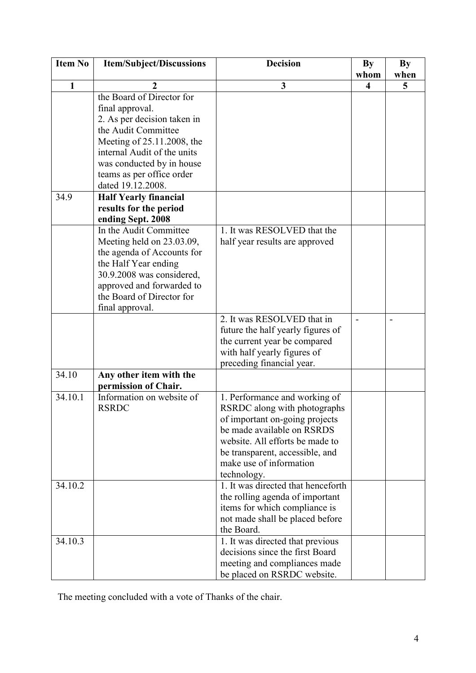| <b>Item No</b> | <b>Item/Subject/Discussions</b> | <b>Decision</b>                    | <b>By</b>               | <b>By</b> |
|----------------|---------------------------------|------------------------------------|-------------------------|-----------|
|                |                                 |                                    | whom                    | when      |
| $\mathbf{1}$   | 2                               | 3                                  | $\overline{\mathbf{4}}$ | 5         |
|                | the Board of Director for       |                                    |                         |           |
|                | final approval.                 |                                    |                         |           |
|                | 2. As per decision taken in     |                                    |                         |           |
|                | the Audit Committee             |                                    |                         |           |
|                | Meeting of 25.11.2008, the      |                                    |                         |           |
|                | internal Audit of the units     |                                    |                         |           |
|                | was conducted by in house       |                                    |                         |           |
|                | teams as per office order       |                                    |                         |           |
|                | dated 19.12.2008.               |                                    |                         |           |
| 34.9           | <b>Half Yearly financial</b>    |                                    |                         |           |
|                | results for the period          |                                    |                         |           |
|                | ending Sept. 2008               |                                    |                         |           |
|                | In the Audit Committee          | 1. It was RESOLVED that the        |                         |           |
|                | Meeting held on 23.03.09,       | half year results are approved     |                         |           |
|                | the agenda of Accounts for      |                                    |                         |           |
|                | the Half Year ending            |                                    |                         |           |
|                | 30.9.2008 was considered,       |                                    |                         |           |
|                | approved and forwarded to       |                                    |                         |           |
|                | the Board of Director for       |                                    |                         |           |
|                | final approval.                 |                                    |                         |           |
|                |                                 | 2. It was RESOLVED that in         |                         |           |
|                |                                 | future the half yearly figures of  |                         |           |
|                |                                 | the current year be compared       |                         |           |
|                |                                 | with half yearly figures of        |                         |           |
|                |                                 | preceding financial year.          |                         |           |
| 34.10          | Any other item with the         |                                    |                         |           |
|                | permission of Chair.            |                                    |                         |           |
| 34.10.1        | Information on website of       | 1. Performance and working of      |                         |           |
|                | <b>RSRDC</b>                    | RSRDC along with photographs       |                         |           |
|                |                                 | of important on-going projects     |                         |           |
|                |                                 | be made available on RSRDS         |                         |           |
|                |                                 | website. All efforts be made to    |                         |           |
|                |                                 | be transparent, accessible, and    |                         |           |
|                |                                 | make use of information            |                         |           |
|                |                                 | technology.                        |                         |           |
| 34.10.2        |                                 | 1. It was directed that henceforth |                         |           |
|                |                                 | the rolling agenda of important    |                         |           |
|                |                                 | items for which compliance is      |                         |           |
|                |                                 | not made shall be placed before    |                         |           |
|                |                                 | the Board.                         |                         |           |
| 34.10.3        |                                 | 1. It was directed that previous   |                         |           |
|                |                                 | decisions since the first Board    |                         |           |
|                |                                 | meeting and compliances made       |                         |           |
|                |                                 | be placed on RSRDC website.        |                         |           |

The meeting concluded with a vote of Thanks of the chair.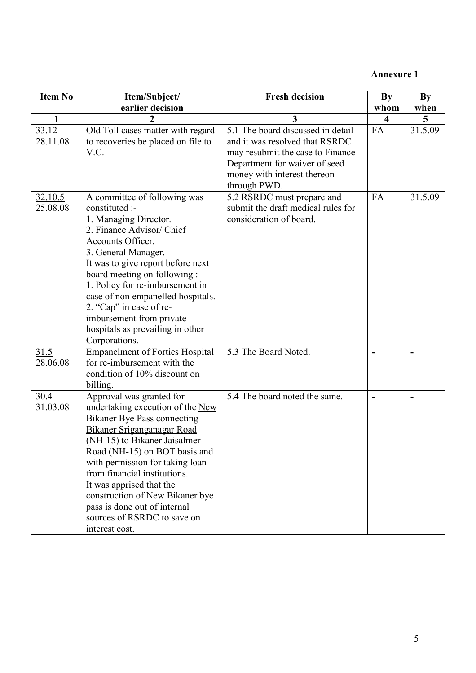**Annexure 1**

| Item No             | Item/Subject/                                                                                                                                                                                                                                                                                                                                                                                                        | <b>Fresh decision</b>                                                                                                                                                                   | <b>By</b>               | By      |
|---------------------|----------------------------------------------------------------------------------------------------------------------------------------------------------------------------------------------------------------------------------------------------------------------------------------------------------------------------------------------------------------------------------------------------------------------|-----------------------------------------------------------------------------------------------------------------------------------------------------------------------------------------|-------------------------|---------|
|                     | earlier decision                                                                                                                                                                                                                                                                                                                                                                                                     |                                                                                                                                                                                         | whom                    | when    |
| $\mathbf{1}$        |                                                                                                                                                                                                                                                                                                                                                                                                                      | 3                                                                                                                                                                                       | $\overline{\mathbf{4}}$ | 5       |
| 33.12<br>28.11.08   | Old Toll cases matter with regard<br>to recoveries be placed on file to<br>V.C.                                                                                                                                                                                                                                                                                                                                      | 5.1 The board discussed in detail<br>and it was resolved that RSRDC<br>may resubmit the case to Finance<br>Department for waiver of seed<br>money with interest thereon<br>through PWD. | FA                      | 31.5.09 |
| 32.10.5<br>25.08.08 | A committee of following was<br>constituted :-<br>1. Managing Director.<br>2. Finance Advisor/ Chief<br>Accounts Officer.<br>3. General Manager.<br>It was to give report before next<br>board meeting on following :-<br>1. Policy for re-imbursement in<br>case of non empanelled hospitals.<br>2. "Cap" in case of re-<br>imbursement from private<br>hospitals as prevailing in other<br>Corporations.           | 5.2 RSRDC must prepare and<br>submit the draft medical rules for<br>consideration of board.                                                                                             | FA                      | 31.5.09 |
| 31.5<br>28.06.08    | <b>Empanelment of Forties Hospital</b><br>for re-imbursement with the<br>condition of 10% discount on<br>billing.                                                                                                                                                                                                                                                                                                    | 5.3 The Board Noted.                                                                                                                                                                    |                         |         |
| 30.4<br>31.03.08    | Approval was granted for<br>undertaking execution of the New<br><b>Bikaner Bye Pass connecting</b><br>Bikaner Sriganganagar Road<br>(NH-15) to Bikaner Jaisalmer<br>Road (NH-15) on BOT basis and<br>with permission for taking loan<br>from financial institutions.<br>It was apprised that the<br>construction of New Bikaner bye<br>pass is done out of internal<br>sources of RSRDC to save on<br>interest cost. | 5.4 The board noted the same.                                                                                                                                                           |                         |         |